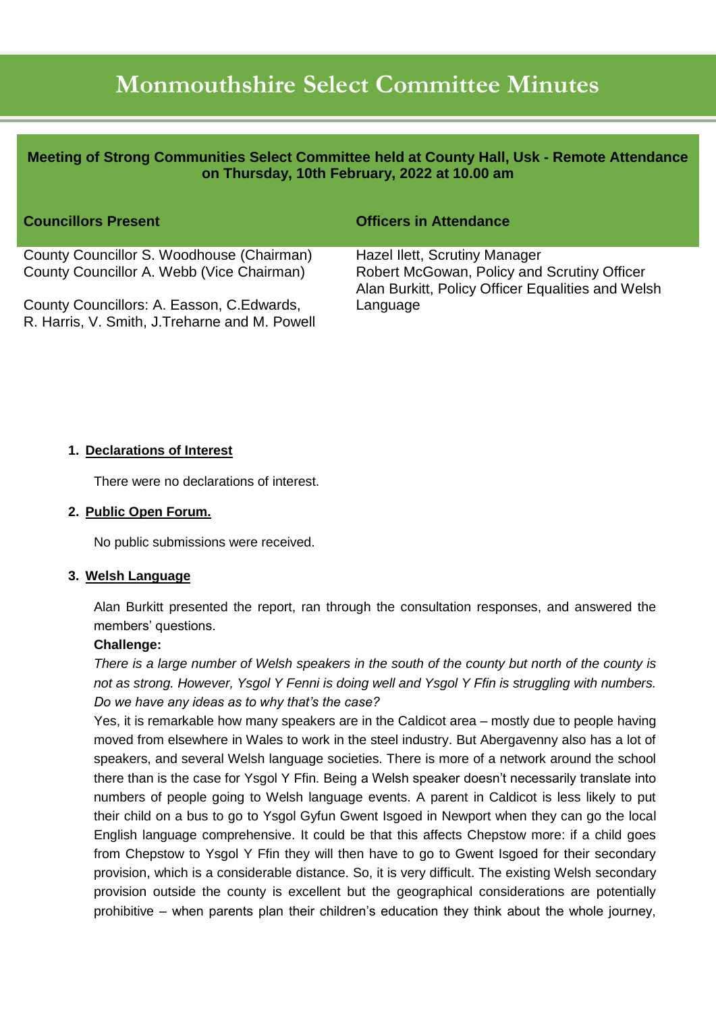# **Monmouthshire Select Committee Minutes**

| Meeting of Strong Communities Select Committee held at County Hall, Usk - Remote Attendance<br>on Thursday, 10th February, 2022 at 10.00 am |                                                                                                                                   |
|---------------------------------------------------------------------------------------------------------------------------------------------|-----------------------------------------------------------------------------------------------------------------------------------|
| <b>Councillors Present</b>                                                                                                                  | <b>Officers in Attendance</b>                                                                                                     |
| County Councillor S. Woodhouse (Chairman)<br>County Councillor A. Webb (Vice Chairman)                                                      | Hazel Ilett, Scrutiny Manager<br>Robert McGowan, Policy and Scrutiny Officer<br>Alan Burkitt, Policy Officer Equalities and Welsh |
| County Councillors: A. Easson, C. Edwards,<br>R. Harris, V. Smith, J. Treharne and M. Powell                                                | Language                                                                                                                          |

#### **1. Declarations of Interest**

There were no declarations of interest.

#### **2. Public Open Forum.**

No public submissions were received.

#### **3. Welsh Language**

Alan Burkitt presented the report, ran through the consultation responses, and answered the members' questions.

#### **Challenge:**

*There is a large number of Welsh speakers in the south of the county but north of the county is not as strong. However, Ysgol Y Fenni is doing well and Ysgol Y Ffin is struggling with numbers. Do we have any ideas as to why that's the case?*

Yes, it is remarkable how many speakers are in the Caldicot area – mostly due to people having moved from elsewhere in Wales to work in the steel industry. But Abergavenny also has a lot of speakers, and several Welsh language societies. There is more of a network around the school there than is the case for Ysgol Y Ffin. Being a Welsh speaker doesn't necessarily translate into numbers of people going to Welsh language events. A parent in Caldicot is less likely to put their child on a bus to go to Ysgol Gyfun Gwent Isgoed in Newport when they can go the local English language comprehensive. It could be that this affects Chepstow more: if a child goes from Chepstow to Ysgol Y Ffin they will then have to go to Gwent Isgoed for their secondary provision, which is a considerable distance. So, it is very difficult. The existing Welsh secondary provision outside the county is excellent but the geographical considerations are potentially prohibitive – when parents plan their children's education they think about the whole journey,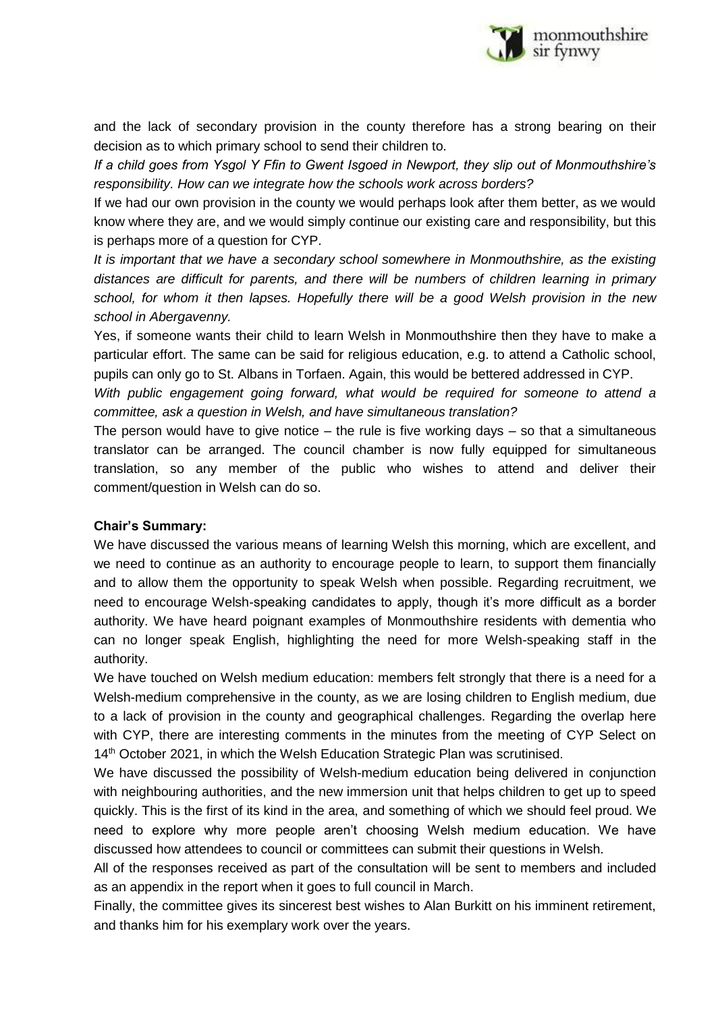

and the lack of secondary provision in the county therefore has a strong bearing on their decision as to which primary school to send their children to.

*If a child goes from Ysgol Y Ffin to Gwent Isgoed in Newport, they slip out of Monmouthshire's responsibility. How can we integrate how the schools work across borders?*

If we had our own provision in the county we would perhaps look after them better, as we would know where they are, and we would simply continue our existing care and responsibility, but this is perhaps more of a question for CYP.

*It is important that we have a secondary school somewhere in Monmouthshire, as the existing distances are difficult for parents, and there will be numbers of children learning in primary school, for whom it then lapses. Hopefully there will be a good Welsh provision in the new school in Abergavenny.*

Yes, if someone wants their child to learn Welsh in Monmouthshire then they have to make a particular effort. The same can be said for religious education, e.g. to attend a Catholic school, pupils can only go to St. Albans in Torfaen. Again, this would be bettered addressed in CYP.

*With public engagement going forward, what would be required for someone to attend a committee, ask a question in Welsh, and have simultaneous translation?*

The person would have to give notice  $-$  the rule is five working days  $-$  so that a simultaneous translator can be arranged. The council chamber is now fully equipped for simultaneous translation, so any member of the public who wishes to attend and deliver their comment/question in Welsh can do so.

## **Chair's Summary:**

We have discussed the various means of learning Welsh this morning, which are excellent, and we need to continue as an authority to encourage people to learn, to support them financially and to allow them the opportunity to speak Welsh when possible. Regarding recruitment, we need to encourage Welsh-speaking candidates to apply, though it's more difficult as a border authority. We have heard poignant examples of Monmouthshire residents with dementia who can no longer speak English, highlighting the need for more Welsh-speaking staff in the authority.

We have touched on Welsh medium education: members felt strongly that there is a need for a Welsh-medium comprehensive in the county, as we are losing children to English medium, due to a lack of provision in the county and geographical challenges. Regarding the overlap here with CYP, there are interesting comments in the minutes from the meeting of CYP Select on 14<sup>th</sup> October 2021, in which the Welsh Education Strategic Plan was scrutinised.

We have discussed the possibility of Welsh-medium education being delivered in conjunction with neighbouring authorities, and the new immersion unit that helps children to get up to speed quickly. This is the first of its kind in the area, and something of which we should feel proud. We need to explore why more people aren't choosing Welsh medium education. We have discussed how attendees to council or committees can submit their questions in Welsh.

All of the responses received as part of the consultation will be sent to members and included as an appendix in the report when it goes to full council in March.

Finally, the committee gives its sincerest best wishes to Alan Burkitt on his imminent retirement, and thanks him for his exemplary work over the years.